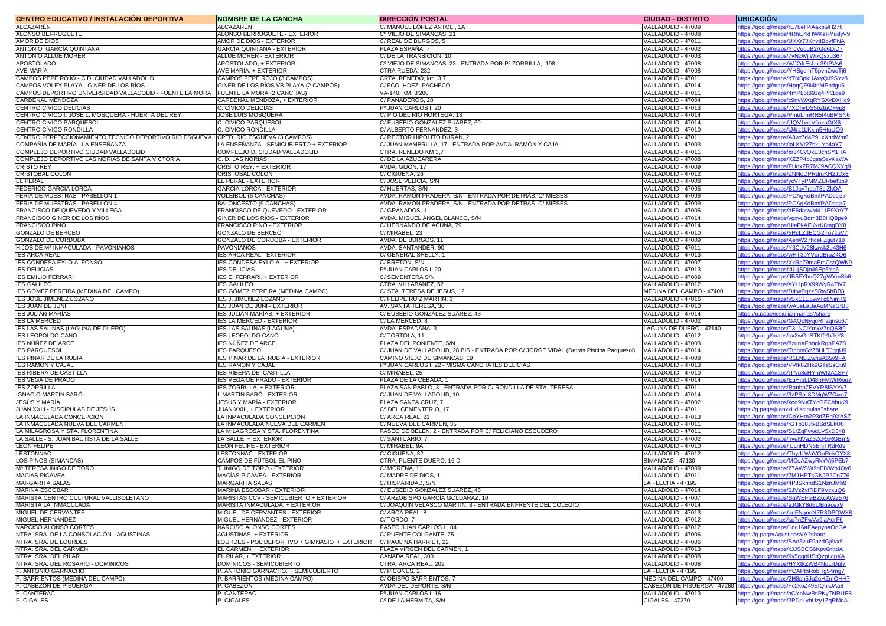| <b>CENTRO EDUCATIVO / INSTALACION DEPORTIVA</b>                                      | <b>NOMBRE DE LA CANCHA</b>                                    | <b>DIRECCION POSTAL</b>                                                               | <b>CIUDAD - DISTRITO</b>                 | <b>UBICACION</b>                                                                    |
|--------------------------------------------------------------------------------------|---------------------------------------------------------------|---------------------------------------------------------------------------------------|------------------------------------------|-------------------------------------------------------------------------------------|
| ALCAZAREN                                                                            | ALCAZAREN                                                     | C/ MANUEL LOPEZ ANTOLI, 1A                                                            | VALLADOLID - 47009                       | ttps://goo.gl/maps/rE78eH4Aakpj9H276                                                |
| ALONSO BERRUGUETE                                                                    | ALONSO BERRUGUETE - EXTERIOR                                  | Cº VIEJO DE SIMANCAS, 21                                                              | VALLADOLID - 47008                       | ttps://goo.gl/maps/4RhE7xHWKeRYudyV9                                                |
| <b>AMOR DE DIOS</b><br>ANTONIO GARCIA QUINTANA                                       | AMOR DE DIOS - EXTERIOR                                       | C/ REAL DE BURGOS, 5                                                                  | VALLADOLID - 47011<br>VALLADOLID - 47002 | ttps://goo.gl/maps/UXXr7JKnvdBoyfFNA                                                |
| <b>ANTONIO ALLUE MORER</b>                                                           | GARCIA QUINTANA - EXTERIOR<br>ALLUE MORER - EXTERIOR          | PLAZA ESPANA, 7<br>C/DE LA TRANSICION, 10                                             | VALLADOLID - 47003                       | ttps://goo.gl/maps/YicVgduB2rGo6DiD7                                                |
| <b>APOSTOLADO</b>                                                                    | APOSTOLADO, + EXTERIOR                                        | Cº VIEJO DE SIMANCAS, 23 - ENTRADA POR Pº ZORRILLA, 198                               | VALLADOLID - 47008                       | <u>ttps://goo.gl/maps/7vNzWjiWixQsxu367</u><br>ttps://goo.gl/maps/WJ2drEsbur39tPVs6 |
| <b>AVE MARIA</b>                                                                     | AVE MARIA, + EXTERIOR                                         | CTRA RUEDA, 232                                                                       | VALLADOLID - 47008                       | ttps://goo.gl/maps/YHSgcmT5pvnZwuTj6                                                |
| CAMPOS PEPE ROJO - C.D. CIUDAD VALLADOLID                                            | CAMPOS PEPE ROJO (3 CAMPOS)                                   | CRTA. RENEDO, km. 3,7                                                                 | VALLADOLID - 47011                       | ttps://goo.gl/maps/bTNBpkUAxyQJ9SYv8                                                |
| CAMPOS VOLEY PLAYA - GINER DE LOS RIOS                                               | GINER DE LOS RIOS VB PLAYA (2 CAMPOS)                         | C/ FCO. HDEZ. PACHECO                                                                 | VALLADOLID - 47014                       | ttps://goo.gl/maps/HpgQF9i4fdMPndgu6                                                |
| CAMPUS DEPORTIVO UNIVERSIDAD VALLADOLID - FUENTE LA MORA 【FUENTE LA MORA (2 CANCHAS) |                                                               | VA-140, KM. 3'200                                                                     | VALLADOLID - 47011                       | ttps://goo.gl/maps/4mPL6t89Jg4PK1ge9                                                |
| CARDENAL MENDOZA                                                                     | CARDENAL MENDOZA, + EXTERIOR                                  | C/ PANADEROS, 28                                                                      | VALLADOLID - 47004                       | ttps://goo.gl/maps/c9nvWXgRYSXyDXHc9                                                |
| CENTRO CIVICO DELICIAS                                                               | C. CIVICO DELICIAS                                            | Pº JUAN CARLOS I, 20                                                                  | VALLADOLID - 47013                       | ttps://goo.gl/maps/7XDhyDS5bztuQFyp8                                                |
| CENTRO CIVICO I. JOSÉ L. MOSQUERA - HUERTA DEL REY                                   | JOSÉ LUIS MOSQUERA                                            | C/ PIO DEL RIO HORTEGA, 13                                                            | VALLADOLID - 47014                       | ttps://goo.gl/maps/PmuLrmRN5f4uBMSN6                                                |
| CENTRO CIVICO PARQUESOL                                                              | C. CIVICO PARQUESOL                                           | C/ EUSEBIO GONZALEZ SUAREZ, 69                                                        | VALLADOLID - 47014                       | ttps://goo.gl/maps/jJQV1wzVfjoxuGtX6                                                |
| CENTRO CIVICO RONDILLA                                                               | C. CIVICO RONDILLA                                            | C/ ALBERTO FERNANDEZ, 3                                                               | VALLADOLID - 47010                       | ttps://goo.gl/maps/tJ4rz1LKxm5HtgUQ9                                                |
| CENTRO PERFECCIONAMIENTO TECNICO DEPORTIVO RIO ESGUEVA CPTD. RIO ESGUEVA (3 CAMPOS)  |                                                               | C/ RECTOR HIPOLITO DURAN, 2                                                           | VALLADOLID - 47011                       | ttps://goo.gl/maps/A8wr7d4P9LxXndWm6                                                |
| COMPAÑÍA DE MARIA - LA ENSENANZA                                                     | LA ENSENANZA - SEMICUBIERTO + EXTERIOR                        | C/ JUAN MAMBRILLA, 17 - ENTRADA POR AVDA. RAMÓN Y CAJAL                               | VALLADOLID - 47003                       | ttps://goo.gl/maps/ipLKVr27hkLYp4aY7                                                |
| COMPLEJO DEPORTIVO CIUDAD VALLADOLID                                                 | COMPLEJO D. CIUDAD VALLADOLID                                 | CTRA. RENEDO KM 3,7                                                                   | VALLADOLID - 47011                       | ttps://goo.gl/maps/brJ4CvQkE3chSY1HA                                                |
| COMPLEJO DEPORTIVO LAS NORIAS DE SANTA VICTORIA                                      | C. D. LAS NORIAS                                              | C/ DE LA AZUCARERA<br>AVDA. GIJON, 17                                                 | VALLADOLID - 47008                       | ttps://goo.gl/maps/XZZP4pJgseSzyKaWA                                                |
| CRISTO REY<br>CRISTOBAL COLON                                                        | CRISTO REY, + EXTERIOR<br>CRISTOBAL COLON                     | C/ CIGUENA, 26                                                                        | VALLADOLID - 47009<br>VALLADOLID - 47012 | ttps://goo.gl/maps/FUoxZR7MJ9ACQXYg9<br>ttps://goo.gl/maps/ZNNoDPRdruKH2JDx8        |
| <b>EL PERAL</b>                                                                      | EL PERAL - EXTERIOR                                           | C/ JOSE VELICIA, S/N                                                                  | VALLADOLID - 47008                       | ttps://goo.gl/maps/ycVTyPMMZURbef3p9                                                |
| FEDERICO GARCIA LORCA                                                                | GARCIA LORCA - EXTERIOR                                       | C/HUERTAS, S/N                                                                        | VALLADOLID - 47005                       | ttps://goo.gl/maps/B1Jpy7rsgT8cjZkQA                                                |
| FERIA DE MUESTRAS - PABELLON 1                                                       | <b>VOLEIBOL (6 CANCHAS)</b>                                   | AVDA. RAMON PRADERA, S/N - ENTRADA POR DETRAS, C/ MIESES                              | VALLADOLID - 47009                       | ttps://goo.gl/maps/PCAgKdBmfPADcciz7                                                |
| FERIA DE MUESTRAS - PABELLON 4                                                       | <b>BALONCESTO (9 CANCHAS)</b>                                 | AVDA. RAMON PRADERA, S/N - ENTRADA POR DETRAS, C/ MIESES                              | VALLADOLID - 47009                       | ttps://goo.gl/maps/PCAgKdBmfPADccjz7                                                |
| FRANCISCO DE QUEVEDO Y VILLEGA                                                       | FRANCISCO DE QUEVEDO - EXTERIOR                               | C/ GRANADOS, 1                                                                        | VALLADOLID - 47006                       | ttps://goo.gl/maps/dE6daswM411E9XeY7                                                |
| FRANCISCO GINER DE LOS RIOS                                                          | GINER DE LOS RIOS - EXTERIOR                                  | AVDA. MIGUEL ANGEL BLANCO, S/N                                                        | VALLADOLID - 47014                       | ttps://goo.gl/maps/vgxyuBdm3B8HQ8pe9                                                |
| <b>FRANCISCO PINO</b>                                                                | <b>FRANCISCO PINO - EXTERIOR</b>                              | C/HERNANDO DE ACUNA. 79                                                               | VALLADOLID - 47014                       | ttps://goo.gl/maps/HiePkAFKxrK8mgDY8                                                |
| <b>GONZALO DE BERCEO</b>                                                             | GONZALO DE BERCEO                                             | C/MIRABEL, 23                                                                         | VALLADOLID - 47010                       | ttps://goo.gl/maps/5RcLZdECG2Tq7zuV7                                                |
| GONZALO DE CORDOBA                                                                   | GONZALO DE CORDOBA - EXTERIOR                                 | AVDA. DE BURGOS, 11                                                                   | VALLADOLID - 47009                       | ttps://goo.gl/maps/AenW27hceFZgut718                                                |
| HIJOS DE Mª INMACULADA - PAVONIANOS                                                  | PAVONIANOS                                                    | AVDA. SANTANDER, 90                                                                   | VALLADOLID - 47011                       | ttps://goo.gl/maps/Y3CdV28kawk2u43H6                                                |
| <b>IES ARCA REAL</b>                                                                 | <b>ES ARCA REAL - EXTERIOR</b>                                | C/ GENERAL SHELLY,                                                                    | VALLADOLID - 47013                       | ttps://goo.gl/maps/wHT3pYVprdBruZ4Q6                                                |
| <b>IES CONDESA EYLO ALFONSO</b>                                                      | ES CONDESA EYLO A., + EXTERIOR                                | C/ BRETON, S/N                                                                        | VALLADOLID - 47007                       | ttps://goo.gl/maps/XxRsZ9maEmCsrQWK9                                                |
| <b>IES DELICIAS</b>                                                                  | <b>ES DELICIAS</b>                                            | Pº JUAN CARLOS I. 20                                                                  | VALLADOLID - 47013                       | ttps://goo.gl/maps/kiUjjSDjn46Ep5Yp6                                                |
| <b>IES EMILIO FERRARI</b>                                                            | IES E. FERRARI, + EXTERIOR                                    | C/ SEMENTERA S/N                                                                      | VALLADOLID - 47009                       | ttps://goo.gl/maps/JB5FYbuQ27gWYmSb6                                                |
| <b>IES GALILEO</b>                                                                   | <b>IES GALILEO</b>                                            | CTRA, VILLABANEZ, 52                                                                  | VALLADOLID - 47012                       | ttps://goo.gl/maps/eYr1pRX99WyR4TiV7                                                |
| IES GOMEZ PEREIRA (MEDINA DEL CAMPO)                                                 | ES GOMEZ PEREIRA (MEDINA CAMPO)                               | C/ STA. TERESA DE JESUS, 12                                                           | MEDINA DEL CAMPO - 47400                 | ttps://goo.gl/maps/DtitwPgzzSRwShBB8                                                |
| <b>IES JOSÉ JIMÉNEZ LOZANO</b><br><b>IES JUAN DE JUNI</b>                            | ES J. JIMÉNEZ LOZANO<br>ES JUAN DE JUNI - EXTERIOR            | C/ FELIPE RUIZ MARTIN, 1<br>AV. SANTA TERESA, 30                                      | VALLADOLID - 47016<br>VALLADOLID - 47010 | ttps://goo.gl/maps/vSxC1E59wTc6NimT9<br>ttps://goo.gl/maps/wA8eLaBaAuMNzGfB8        |
| <b>IES JULIAN MARIAS</b>                                                             | ES JULIAN MARIAS. + EXTERIOR                                  | C/ EUSEBIO GONZALEZ SUAREZ, 43                                                        | VALLADOLID - 47014                       | ttps://g.page/iesjulianmarias?share                                                 |
| <b>IES LA MERCED</b>                                                                 | <b>IES LA MERCED - EXTERIOR</b>                               | C/LA MERCED, 8                                                                        | VALLADOLID - 47002                       | https://goo.gl/maps/GAQpNyqoRh2qnsu67                                               |
| IES LAS SALINAS (LAGUNA DE DUERO)                                                    | IES LAS SALINAS (LAGUNA)                                      | AVDA. ESPADANA, 3                                                                     | LAGUNA DE DUERO - 47140                  | ttps://goo.gl/maps/T3LNCiYmxV7nQ63t9                                                |
| <b>IES LEOPOLDO CANO</b>                                                             | ES LEOPOLDO CANO                                              | C/TORTOLA, 11                                                                         | VALLADOLID - 47012                       | ttps://goo.gl/maps/bx2wGnSTKffYbJkY8                                                |
| <b>IES NUNEZ DE ARCE</b>                                                             | ES NUNEZ DE ARCE                                              | PLAZA DEL PONIENTE, S/N                                                               | VALLADOLID - 47003                       | ttps://goo.gl/maps/8zunXFoogkRgpPAZ8                                                |
| <b>IES PARQUESOL</b>                                                                 | <b>ES PARQUESOL</b>                                           | C/ JUAN DE VALLADOLID, 28 BIS - ENTRADA POR C/ JORGE VIDAL (Detrás Piscina Parquesol) | VALLADOLID - 47014                       | ttps://goo.gl/maps/TtcbmGzZ8HLTJggU9                                                |
| <b>IES PINAR DE LA RUBIA</b>                                                         | ES PINAR DE LA RUBIA - EXTERIOR                               | CAMINO VIEJO DE SIMANCAS, 19                                                          | VALLADOLID - 47008                       | ttps://goo.gl/maps/R1LNLjZwhuA65v9FA                                                |
| <b>IES RAMON Y CAJAL</b>                                                             | IES RAMON Y CAJAL                                             | Pº JUAN CARLOS I, 22 - MISMA CANCHA IES DELICIAS                                      | VALLADOLID - 47013                       | https://goo.gl/maps/VVtk8ZHk9GTsSsQu9                                               |
| <b>IES RIBERA DE CASTILLA</b>                                                        | ES RIBERA DE CASTILLA                                         | C/MIRABEL, 25                                                                         | VALLADOLID - 47010                       | ttps://goo.gl/maps/tTNu3oHYmWf2A1SF7                                                |
| <b>IES VEGA DE PRADO</b>                                                             | ES VEGA DE PRADO - EXTERIOR                                   | PLAZA DE LA CEBADA, 1                                                                 | VALLADOLID - 47014                       | ttps://goo.gl/maps/EuHmbD48hFMiWRwq7                                                |
| <b>IES ZORRILLA</b>                                                                  | ES ZORRILLA, + EXTERIOR                                       | PLAZA SAN PABLO, 3 - ENTRADA POR C/ RONDILLA DE STA. TERESA                           | VALLADOLID - 47011                       | ttps://goo.gl/maps/Ranbp7EVYR8fSYYy7                                                |
| IGNACIO MARTÍN BARÓ                                                                  | . MARTIN BARO - EXTERIOR                                      | C/ JUAN DE VALLADOLID, 10                                                             | VALLADOLID - 47014                       | ttps://goo.gl/maps/3zPSaji8DMgW7Cxm7                                                |
| <b>JESUS Y MARIA</b><br>JUAN XXIII - DISCIPULAS DE JESUS                             | JESÜS Y MARIA - EXTERIOR                                      | PLAZA SANTA CRUZ, 7                                                                   | VALLADOLID - 47002                       | ttps://goo.gl/maps/koo9NXTYcGFChhuK9                                                |
| LA INMACULADA CONCEPCION                                                             | JUAN XXIII, + EXTERIOR<br>LA INMACULADA CONCEPCION            | Cº DEL CEMENTERIO, 17<br>C/ ARCA REAL, 21                                             | VALLADOLID - 47011<br>VALLADOLID - 47013 | ttps://g.page/juanxxiiidiscipulas?share<br>ttps://goo.gl/maps/CpYHm2P3dZEg9XAS7     |
| LA INMACULADA NUEVA DEL CARMEN                                                       | LA INMACULADA NUEVA DEL CARMEN                                | C/NUEVA DEL CARMEN. 35                                                                | VALLADOLID - 47011                       | ttps://goo.gl/maps/rGTb38JtkBSdSLkU6                                                |
| LA MILAGROSA Y STA. FLORENTINA                                                       | LA MILAGROSA Y STA. FLORENTINA                                | PASEO DE BELÉN, 2 - ENTRADA POR C/ FELICIANO ESCUDERO                                 | VALLADOLID - 47011                       | ttps://goo.gl/maps/S1rZgFvwgLV5xD348                                                |
| LA SALLE - S. JUAN BAUTISTA DE LA SALLE                                              | LA SALLE, + EXTERIOR                                          | C/SANTUARIO, 7                                                                        | VALLADOLID - 47002                       | ttps://goo.gl/maps/hyeNVaZ3ZcRxRGBm9                                                |
| <b>LEON FELIPE</b>                                                                   | LEON FELIPE - EXTERIOR                                        | C/ MIRABEL, 9A                                                                        | VALLADOLID - 47010                       | ttps://goo.gl/maps/rLLnHDN6EhjTRdRd9                                                |
| LESTONNAC                                                                            | <b>LESTONNAC - EXTERIOR</b>                                   | C/ CIGUENA, 32                                                                        | VALLADOLID - 47012                       | https://goo.gl/maps/TbydLWaVGuRekCYX8                                               |
| LOS PINOS (SIMANCAS)                                                                 | CAMPOS DE FUTBOL EL PINO                                      | CTRA. PUENTE DUERO, 16 D                                                              | <b>SIMANCAS - 47130</b>                  | ttps://goo.gl/maps/MCoAZwyRkYVj5PEb7                                                |
| M <sup>ª</sup> TERESA INIGO DE TORO                                                  | . INIGO DE TORO - EXTERIOR                                    | C/MORENA, 11                                                                          | VALLADOLID - 47009                       | ttps://goo.gl/maps/27AWSW9pEiYWbJQy6                                                |
| <b>MACIAS PICAVEA</b>                                                                | <b>MACIAS PICAVEA - EXTERIOR</b>                              | C/MADRE DE DIOS, 1                                                                    | VALLADOLID - 47011                       | ttps://goo.gl/maps/7M1HPTsGKJP2Cn776                                                |
| <b>MARGARITA SALAS</b>                                                               | MARGARITA SALAS                                               | C/HISPANIDAD, S/N                                                                     | LA FLECHA - 47195                        | ttps://goo.gl/maps/4PJSknhdS1NznJMb9                                                |
| <b>MARINA ESCOBAR</b>                                                                | MARINA ESCOBAR - EXTERIOR                                     | C/ EUSEBIO GONZALEZ SUAREZ, 45                                                        | VALLADOLID - 47014                       | <u>ttps://goo.gl/maps/6JVzZyfRDF9VckuQ6</u>                                         |
| MARISTA CENTRO CULTURAL VALLISOLETANO                                                | MARISTAS CCV - SEMICUBIERTO + EXTERIOR                        | C/ ARZOBISPO GARCIA GOLDARAZ, 10                                                      | VALLADOLID - 47007                       | ttps://goo.gl/maps/SgWEFbjBZxcAW2576                                                |
| <b>MARISTA LA INMACULADA</b><br>MIGUEL DE CERVANTES                                  | VARISTA INMACULADA, + EXTERIOR                                | C/ JOAQUIN VELASCO MARTIN, 8 - ENTRADA ENFRENTE DEL COLEGIO                           | VALLADOLID - 47014                       | ttps://goo.gl/maps/eJGkY8d6LfBgacex9<br>ttps://goo.gl/maps/ueFNgnoNZR3DPDWX8        |
| MIGUEL HERNANDEZ                                                                     | MIGUEL DE CERVANTES - EXTERIOR<br>MIGUEL HERNANDEZ - EXTERIOR | C/ ARCA REAL, 8<br>C/TORDO, 7                                                         | VALLADOLID - 47013<br>VALLADOLID - 47012 | ttps://goo.gl/maps/sp7nZFwVa9iaAgrF6                                                |
| NARCISO ALONSO CORTES                                                                | NARCISO ALONSO CORTÉS                                         | PASEO JUAN CARLOS I, 84                                                               | VALLADOLID - 47012                       | ttps://goo.gl/maps/1dc16aFAepyoaQhGA                                                |
| NTRA. SRA. DE LA CONSOLACIÓN - AGUSTINAS                                             | <b>AGUSTINAS, + EXTERIOR</b>                                  | C/ PUENTE COLGANTE, 75                                                                | VALLADOLID - 47006                       | ttps://g.page/AgustinasVA?share                                                     |
| NTRA. SRA. DE LOURDES                                                                | LOURDES - POLIDEPORTIVO + GIMNASIO + EXTERIOR                 | C/ PAULINA HARRIET, 22                                                                | VALLADOLID - 47006                       | ttps://goo.gl/maps/SAd5vuF9azdGj6vx9                                                |
| NTRA. SRA. DEL CARMEN                                                                | EL CARMEN, + EXTERIOR                                         | PLAZA VIRGEN DEL CARMEN, 1                                                            | VALLADOLID - 47013                       | ttps://goo.gl/maps/xJJSBCS6Kpv6nttdA                                                |
| NTRA. SRA. DEL PILAR                                                                 | EL PILAR. + EXTERIOR                                          | CANADA REAL, 300                                                                      | VALLADOLID - 47008                       | ttps://goo.gl/maps/9y5ggoHStQzpLcpXA                                                |
| NTRA. SRA. DEL ROSARIO - DOMINICOS                                                   | DOMINICOS - SEMICUBIERTO                                      | CTRA. ARCA REAL, 209                                                                  | VALLADOLID - 47008                       | ttps://goo.gl/maps/HYXtkZWB4NuLrDpf7                                                |
| P. ANTONIO GARNACHO                                                                  | P. ANTONIO GARNACHO. + SEMICUBIERTO                           | C/PICONES, 2                                                                          | LA FLECHA - 47195                        | ttps://goo.gl/maps/rfCAPthRobHq54mq7                                                |
| P. BARRIENTOS (MEDINA DEL CAMPO)                                                     | P. BARRIENTOS (MEDINA CAMPO)                                  | C/OBISPO BARRIENTOS, 7                                                                | MEDINA DEL CAMPO - 47400                 | ttps://goo.gl/maps/2H8ph5Jq2qHZmQHH7                                                |
| P. CABEZON DE PISUERGA                                                               | P. CABEZON                                                    | AVDA DEL DEPORTE, S/N                                                                 | CABEZON DE PISUERGA - 47260              | ttps://goo.gl/maps/Fc2koZ49EfQhkJAa8                                                |
| P. CANTERAC                                                                          | <sup>2</sup> . CANTERAC                                       | Pº JUAN CARLOS I, 16                                                                  | VALLADOLID - 47013                       | ttps://goo.gl/maps/nCYbNwBsPKyTNRUE8                                                |
| P. CIGALES                                                                           | <sup>.</sup> CIGALES                                          | C° DE LA HERMITA, S/N                                                                 | CIGALES - 47270                          | ttps://goo.gl/maps/2PDsLvhUzy1ZgRMcA                                                |